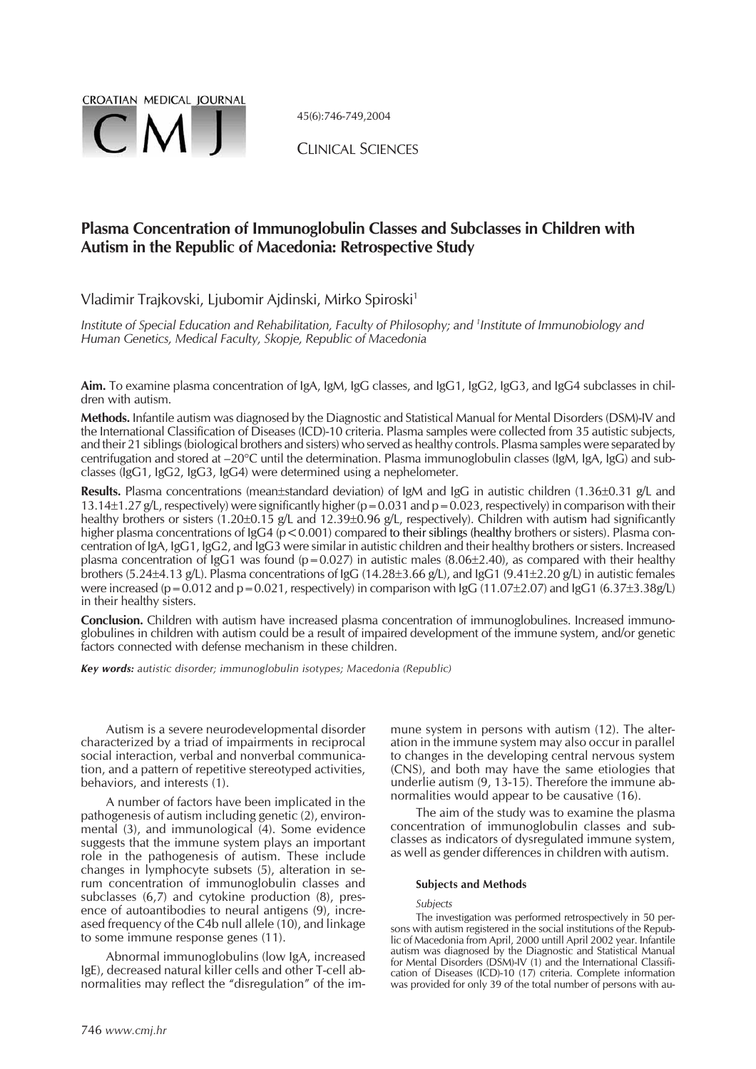

45(6):746-749,2004

CLINICAL SCIENCES

# **Plasma Concentration of Immunoglobulin Classes and Subclasses in Children with Autism in the Republic of Macedonia: Retrospective Study**

Vladimir Trajkovski, Ljubomir Ajdinski, Mirko Spiroski<sup>1</sup>

*Institute of Special Education and Rehabilitation, Faculty of Philosophy; and <sup>1</sup> Institute of Immunobiology and Human Genetics, Medical Faculty, Skopje, Republic of Macedonia*

**Aim.** To examine plasma concentration of IgA, IgM, IgG classes, and IgG1, IgG2, IgG3, and IgG4 subclasses in children with autism.

**Methods.** Infantile autism was diagnosed by the Diagnostic and Statistical Manual for Mental Disorders (DSM)-IV and the International Classification of Diseases (ICD)-10 criteria. Plasma samples were collected from 35 autistic subjects, and their 21 siblings (biological brothers and sisters) who served as healthy controls. Plasma samples were separated by centrifugation and stored at –20°C until the determination. Plasma immunoglobulin classes (IgM, IgA, IgG) and subclasses (IgG1, IgG2, IgG3, IgG4) were determined using a nephelometer.

Results. Plasma concentrations (mean±standard deviation) of IgM and IgG in autistic children (1.36±0.31 g/L and 13.14±1.27 g/L, respectively) were significantly higher (p = 0.031 and p = 0.023, respectively) in comparison with their healthy brothers or sisters (1.20±0.15 g/L and 12.39±0.96 g/L, respectively). Children with autism had significantly higher plasma concentrations of IgG4 ( $p$  < 0.001) compared to their siblings (healthy brothers or sisters). Plasma concentration of IgA, IgG1, IgG2, and IgG3 were similar in autistic children and their healthy brothers or sisters. Increased plasma concentration of IgG1 was found ( $p=0.027$ ) in autistic males (8.06±2.40), as compared with their healthy .<br>brothers (5.24±4.13 g/L). Plasma concentrations of IgG (14.28±3.66 g/L), and IgG1 (9.41±2.20 g/L) in autistic females were increased (p = 0.012 and p = 0.021, respectively) in comparison with IgG (11.07±2.07) and IgG1 (6.37±3.38g/L) in their healthy sisters.

**Conclusion.** Children with autism have increased plasma concentration of immunoglobulines. Increased immunoglobulines in children with autism could be a result of impaired development of the immune system, and/or genetic factors connected with defense mechanism in these children.

*Key words: autistic disorder; immunoglobulin isotypes; Macedonia (Republic)*

Autism is a severe neurodevelopmental disorder characterized by a triad of impairments in reciprocal social interaction, verbal and nonverbal communication, and a pattern of repetitive stereotyped activities, behaviors, and interests (1).

A number of factors have been implicated in the pathogenesis of autism including genetic (2), environmental (3), and immunological (4). Some evidence suggests that the immune system plays an important role in the pathogenesis of autism. These include changes in lymphocyte subsets (5), alteration in serum concentration of immunoglobulin classes and subclasses (6,7) and cytokine production (8), presence of autoantibodies to neural antigens (9), increased frequency of the C4b null allele (10), and linkage to some immune response genes (11).

Abnormal immunoglobulins (low IgA, increased IgE), decreased natural killer cells and other T-cell abnormalities may reflect the "disregulation" of the immune system in persons with autism (12). The alteration in the immune system may also occur in parallel to changes in the developing central nervous system (CNS), and both may have the same etiologies that underlie autism  $(9, 13-15)$ . Therefore the immune abnormalities would appear to be causative (16).

The aim of the study was to examine the plasma concentration of immunoglobulin classes and subclasses as indicators of dysregulated immune system, as well as gender differences in children with autism.

## **Subjects and Methods**

*Subjects*

The investigation was performed retrospectively in 50 persons with autism registered in the social institutions of the Republic of Macedonia from April, 2000 untill April 2002 year. Infantile autism was diagnosed by the Diagnostic and Statistical Manual for Mental Disorders (DSM)-IV (1) and the International Classification of Diseases (ICD)-10 (17) criteria. Complete information was provided for only 39 of the total number of persons with au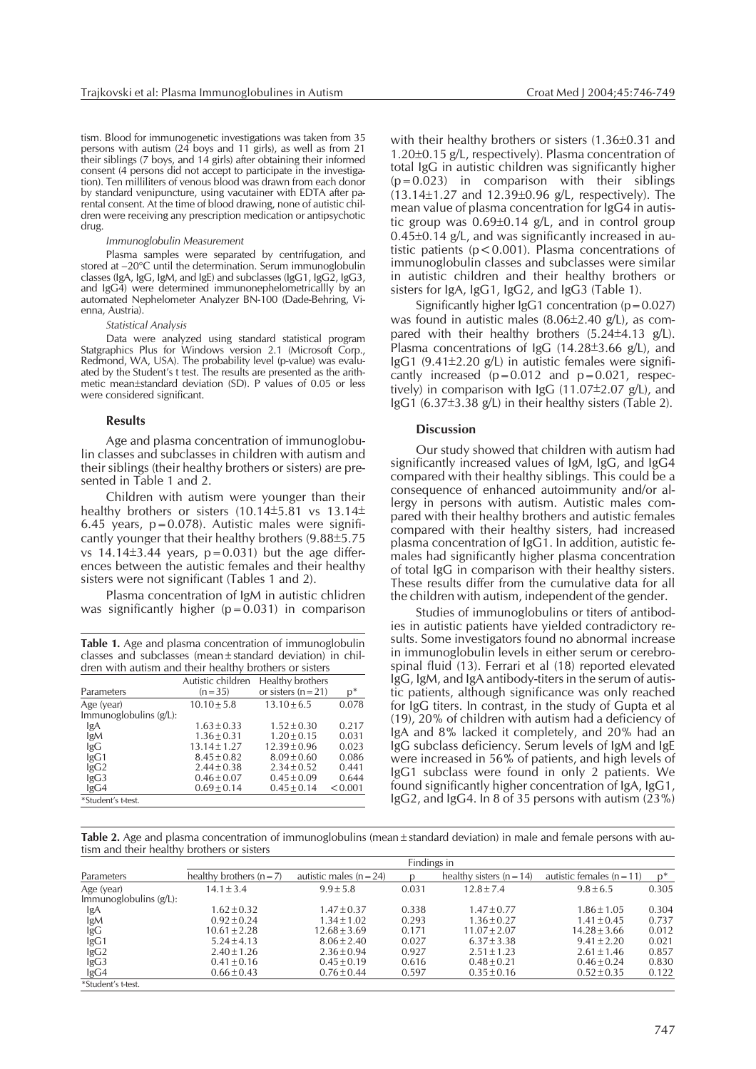tism. Blood for immunogenetic investigations was taken from 35 persons with autism (24 boys and 11 girls), as well as from 21 their siblings (7 boys, and 14 girls) after obtaining their informed consent (4 persons did not accept to participate in the investigation). Ten milliliters of venous blood was drawn from each donor by standard venipuncture, using vacutainer with EDTA after parental consent. At the time of blood drawing, none of autistic children were receiving any prescription medication or antipsychotic drug.

#### *Immunoglobulin Measurement*

Plasma samples were separated by centrifugation, and stored at -20°C until the determination. Serum immunoglobulin classes (IgA, IgG, IgM, and IgE) and subclasses (IgG1, IgG2, IgG3, and IgG4) were determined immunonephelometricallly by an automated Nephelometer Analyzer BN-100 (Dade-Behring, Vienna, Austria).

#### *Statistical Analysis*

Data were analyzed using standard statistical program Statgraphics Plus for Windows version 2.1 (Microsoft Corp., Redmond, WA, USA). The probability level (p-value) was evaluated by the Student's t test. The results are presented as the arithmetic mean±standard deviation (SD). P values of 0.05 or less were considered significant.

## **Results**

Age and plasma concentration of immunoglobulin classes and subclasses in children with autism and their siblings (their healthy brothers or sisters) are presented in Table 1 and 2.

Children with autism were younger than their healthy brothers or sisters (10.14 $\pm$ 5.81 vs 13.14 $\pm$ 6.45 years,  $p=0.078$ ). Autistic males were significantly younger that their healthy brothers (9.88±5.75 vs  $14.14\pm3.44$  years,  $p=0.031$ ) but the age differences between the autistic females and their healthy sisters were not significant (Tables 1 and 2).

Plasma concentration of IgM in autistic chlidren was significantly higher  $(p=0.031)$  in comparison

| <b>Table 1.</b> Age and plasma concentration of immunoglobulin                                                  |
|-----------------------------------------------------------------------------------------------------------------|
| classes and subclasses (mean $\pm$ standard deviation) in chil-                                                 |
| dren with autism and their healthy brothers or sisters                                                          |
| the contract of the contract of the contract of the contract of the contract of the contract of the contract of |

|                       | Autistic children | Healthy brothers      |         |
|-----------------------|-------------------|-----------------------|---------|
| Parameters            | $(n=35)$          | or sisters $(n = 21)$ | $D^*$   |
| Age (year)            | $10.10 \pm 5.8$   | $13.10 \pm 6.5$       | 0.078   |
| Immunoglobulins(g/L): |                   |                       |         |
| lgA                   | $1.63 \pm 0.33$   | $1.52 \pm 0.30$       | 0.217   |
| lgM                   | $1.36 \pm 0.31$   | $1.20 \pm 0.15$       | 0.031   |
| lgG                   | $13.14 \pm 1.27$  | $12.39 \pm 0.96$      | 0.023   |
| lgG1                  | $8.45 \pm 0.82$   | $8.09 \pm 0.60$       | 0.086   |
| lgG2                  | $2.44 \pm 0.38$   | $2.34 \pm 0.52$       | 0.441   |
| lgG3                  | $0.46 \pm 0.07$   | $0.45 \pm 0.09$       | 0.644   |
| lgG4                  | $0.69 \pm 0.14$   | $0.45 \pm 0.14$       | < 0.001 |
| *Student's t-test.    |                   |                       |         |

with their healthy brothers or sisters (1.36±0.31 and 1.20±0.15 g/L, respectively). Plasma concentration of total IgG in autistic children was significantly higher  $(p=0.023)$  in comparison with their siblings (13.14-1.27 and 12.39-0.96 g/L, respectively). The mean value of plasma concentration for IgG4 in autistic group was 0.69±0.14 g/L, and in control group 0.45-0.14 g/L, and was significantly increased in autistic patients ( $p < 0.001$ ). Plasma concentrations of immunoglobulin classes and subclasses were similar in autistic children and their healthy brothers or sisters for IgA, IgG1, IgG2, and IgG3 (Table 1).

Significantly higher  $lgG1$  concentration ( $p=0.027$ ) was found in autistic males  $(8.06\pm2.40 \text{ g/L})$ , as compared with their healthy brothers  $(5.24 \pm 4.13 \text{ g/L})$ . Plasma concentrations of IgG (14.28±3.66 g/L), and lgG1 (9.41±2.20 g/L) in autistic females were significantly increased  $(p=0.012$  and  $p=0.021$ , respectively) in comparison with IgG (11.07 $\pm$ 2.07 g/L), and IgG1 (6.37-3.38 g/L) in their healthy sisters (Table 2).

#### **Discussion**

Our study showed that children with autism had significantly increased values of IgM, IgG, and IgG4 compared with their healthy siblings. This could be a consequence of enhanced autoimmunity and/or allergy in persons with autism. Autistic males compared with their healthy brothers and autistic females compared with their healthy sisters, had increased plasma concentration of IgG1. In addition, autistic females had significantly higher plasma concentration of total IgG in comparison with their healthy sisters. These results differ from the cumulative data for all the children with autism, independent of the gender.

Studies of immunoglobulins or titers of antibodies in autistic patients have yielded contradictory results. Some investigators found no abnormal increase in immunoglobulin levels in either serum or cerebrospinal fluid (13). Ferrari et al (18) reported elevated IgG, IgM, and IgA antibody-titers in the serum of autistic patients, although significance was only reached for IgG titers. In contrast, in the study of Gupta et al (19), 20% of children with autism had a deficiency of IgA and 8% lacked it completely, and 20% had an IgG subclass deficiency. Serum levels of IgM and IgE were increased in 56% of patients, and high levels of IgG1 subclass were found in only 2 patients. We found significantly higher concentration of IgA, IgG1, IgG2, and IgG4. In 8 of 35 persons with autism (23%)

**Table 2.** Age and plasma concentration of immunoglobulins (mean±standard deviation) in male and female persons with autism and their healthy brothers or sisters

|                           | Findings in                  |                           |       |                            |                             |       |
|---------------------------|------------------------------|---------------------------|-------|----------------------------|-----------------------------|-------|
| Parameters                | healthy brothers ( $n = 7$ ) | autistic males $(n = 24)$ |       | healthy sisters $(n = 14)$ | autistic females $(n = 11)$ | $n^*$ |
| Age (year)                | $14.1 \pm 3.4$               | $9.9 \pm 5.8$             | 0.031 | $12.8 \pm 7.4$             | $9.8 \pm 6.5$               | 0.305 |
| Immunoglobulins $(g/L)$ : |                              |                           |       |                            |                             |       |
| lgA                       | $1.62 \pm 0.32$              | $1.47 \pm 0.37$           | 0.338 | $1.47 \pm 0.77$            | $1.86 \pm 1.05$             | 0.304 |
|                           | $0.92 \pm 0.24$              | $1.34 \pm 1.02$           | 0.293 | $1.36 \pm 0.27$            | $1.41 \pm 0.45$             | 0.737 |
| $\lg M$<br>$\lg G$        | $10.61 \pm 2.28$             | $12.68 \pm 3.69$          | 0.171 | $11.07 \pm 2.07$           | $14.28 \pm 3.66$            | 0.012 |
| lgG1                      | $5.24 \pm 4.13$              | $8.06 \pm 2.40$           | 0.027 | $6.37 \pm 3.38$            | $9.41 \pm 2.20$             | 0.021 |
| lgG <sub>2</sub>          | $2.40 \pm 1.26$              | $2.36 \pm 0.94$           | 0.927 | $2.51 \pm 1.23$            | $2.61 \pm 1.46$             | 0.857 |
| lgG3                      | $0.41 \pm 0.16$              | $0.45 \pm 0.19$           | 0.616 | $0.48 \pm 0.21$            | $0.46 \pm 0.24$             | 0.830 |
| lgG4                      | $0.66 \pm 0.43$              | $0.76 \pm 0.44$           | 0.597 | $0.35 \pm 0.16$            | $0.52 \pm 0.35$             | 0.122 |
| *Student's t-test.        |                              |                           |       |                            |                             |       |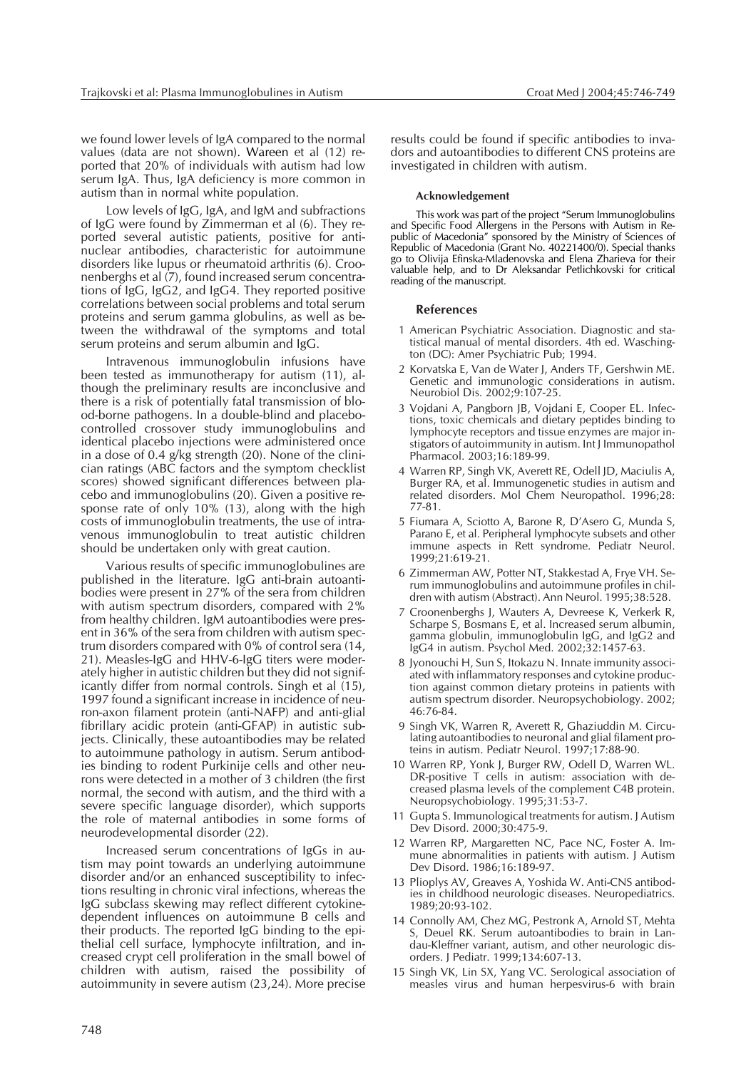we found lower levels of IgA compared to the normal values (data are not shown). Wareen et al (12) reported that 20% of individuals with autism had low serum IgA. Thus, IgA deficiency is more common in autism than in normal white population.

Low levels of IgG, IgA, and IgM and subfractions of IgG were found by Zimmerman et al (6). They reported several autistic patients, positive for antinuclear antibodies, characteristic for autoimmune disorders like lupus or rheumatoid arthritis (6). Croonenberghs et al (7), found increased serum concentrations of IgG, IgG2, and IgG4. They reported positive correlations between social problems and total serum proteins and serum gamma globulins, as well as between the withdrawal of the symptoms and total serum proteins and serum albumin and IgG.

Intravenous immunoglobulin infusions have been tested as immunotherapy for autism (11), although the preliminary results are inconclusive and there is a risk of potentially fatal transmission of blood-borne pathogens. In a double-blind and placebocontrolled crossover study immunoglobulins and identical placebo injections were administered once in a dose of 0.4 g/kg strength (20). None of the clinician ratings (ABC factors and the symptom checklist scores) showed significant differences between placebo and immunoglobulins (20). Given a positive response rate of only 10% (13), along with the high costs of immunoglobulin treatments, the use of intravenous immunoglobulin to treat autistic children should be undertaken only with great caution.

Various results of specific immunoglobulines are published in the literature. IgG anti-brain autoantibodies were present in 27% of the sera from children with autism spectrum disorders, compared with 2% from healthy children. IgM autoantibodies were present in 36% of the sera from children with autism spectrum disorders compared with 0% of control sera (14, 21). Measles-IgG and HHV-6-IgG titers were moderately higher in autistic children but they did not significantly differ from normal controls. Singh et al (15), 1997 found a significant increase in incidence of neuron-axon filament protein (anti-NAFP) and anti-glial fibrillary acidic protein (anti-GFAP) in autistic subjects. Clinically, these autoantibodies may be related to autoimmune pathology in autism. Serum antibodies binding to rodent Purkinije cells and other neurons were detected in a mother of 3 children (the first normal, the second with autism, and the third with a severe specific language disorder), which supports the role of maternal antibodies in some forms of neurodevelopmental disorder (22).

Increased serum concentrations of IgGs in autism may point towards an underlying autoimmune disorder and/or an enhanced susceptibility to infections resulting in chronic viral infections, whereas the IgG subclass skewing may reflect different cytokinedependent influences on autoimmune B cells and their products. The reported IgG binding to the epithelial cell surface, lymphocyte infiltration, and increased crypt cell proliferation in the small bowel of children with autism, raised the possibility of autoimmunity in severe autism (23,24). More precise

results could be found if specific antibodies to invadors and autoantibodies to different CNS proteins are investigated in children with autism.

# **Acknowledgement**

This work was part of the project "Serum Immunoglobulins and Specific Food Allergens in the Persons with Autism in Republic of Macedonia" sponsored by the Ministry of Sciences of Republic of Macedonia (Grant No. 40221400/0). Special thanks go to Olivija Efinska-Mladenovska and Elena Zharieva for their valuable help, and to Dr Aleksandar Petlichkovski for critical reading of the manuscript.

# **References**

- 1 American Psychiatric Association. Diagnostic and statistical manual of mental disorders. 4th ed. Waschington (DC): Amer Psychiatric Pub; 1994.
- 2 Korvatska E, Van de Water J, Anders TF, Gershwin ME. Genetic and immunologic considerations in autism. Neurobiol Dis. 2002;9:107-25.
- 3 Vojdani A, Pangborn JB, Vojdani E, Cooper EL. Infections, toxic chemicals and dietary peptides binding to lymphocyte receptors and tissue enzymes are major instigators of autoimmunity in autism. Int J Immunopathol Pharmacol. 2003;16:189-99.
- 4 Warren RP, Singh VK, Averett RE, Odell JD, Maciulis A, Burger RA, et al. Immunogenetic studies in autism and related disorders. Mol Chem Neuropathol. 1996;28: 77-81.
- 5 Fiumara A, Sciotto A, Barone R, D'Asero G, Munda S, Parano E, et al. Peripheral lymphocyte subsets and other immune aspects in Rett syndrome. Pediatr Neurol. 1999;21:619-21.
- 6 Zimmerman AW, Potter NT, Stakkestad A, Frye VH. Serum immunoglobulins and autoimmune profiles in children with autism (Abstract). Ann Neurol. 1995;38:528.
- 7 Croonenberghs J, Wauters A, Devreese K, Verkerk R, Scharpe S, Bosmans E, et al. Increased serum albumin, gamma globulin, immunoglobulin IgG, and IgG2 and IgG4 in autism. Psychol Med. 2002;32:1457-63.
- 8 Jyonouchi H, Sun S, Itokazu N. Innate immunity associated with inflammatory responses and cytokine production against common dietary proteins in patients with autism spectrum disorder. Neuropsychobiology. 2002; 46:76-84.
- 9 Singh VK, Warren R, Averett R, Ghaziuddin M. Circulating autoantibodies to neuronal and glial filament proteins in autism. Pediatr Neurol. 1997;17:88-90.
- 10 Warren RP, Yonk J, Burger RW, Odell D, Warren WL. DR-positive T cells in autism: association with decreased plasma levels of the complement C4B protein. Neuropsychobiology. 1995;31:53-7.
- 11 Gupta S. Immunological treatments for autism. J Autism Dev Disord. 2000;30:475-9.
- 12 Warren RP, Margaretten NC, Pace NC, Foster A. Immune abnormalities in patients with autism. J Autism Dev Disord. 1986;16:189-97.
- 13 Plioplys AV, Greaves A, Yoshida W. Anti-CNS antibodies in childhood neurologic diseases. Neuropediatrics. 1989;20:93-102.
- 14 Connolly AM, Chez MG, Pestronk A, Arnold ST, Mehta S, Deuel RK. Serum autoantibodies to brain in Landau-Kleffner variant, autism, and other neurologic disorders. J Pediatr. 1999;134:607-13.
- 15 Singh VK, Lin SX, Yang VC. Serological association of measles virus and human herpesvirus-6 with brain